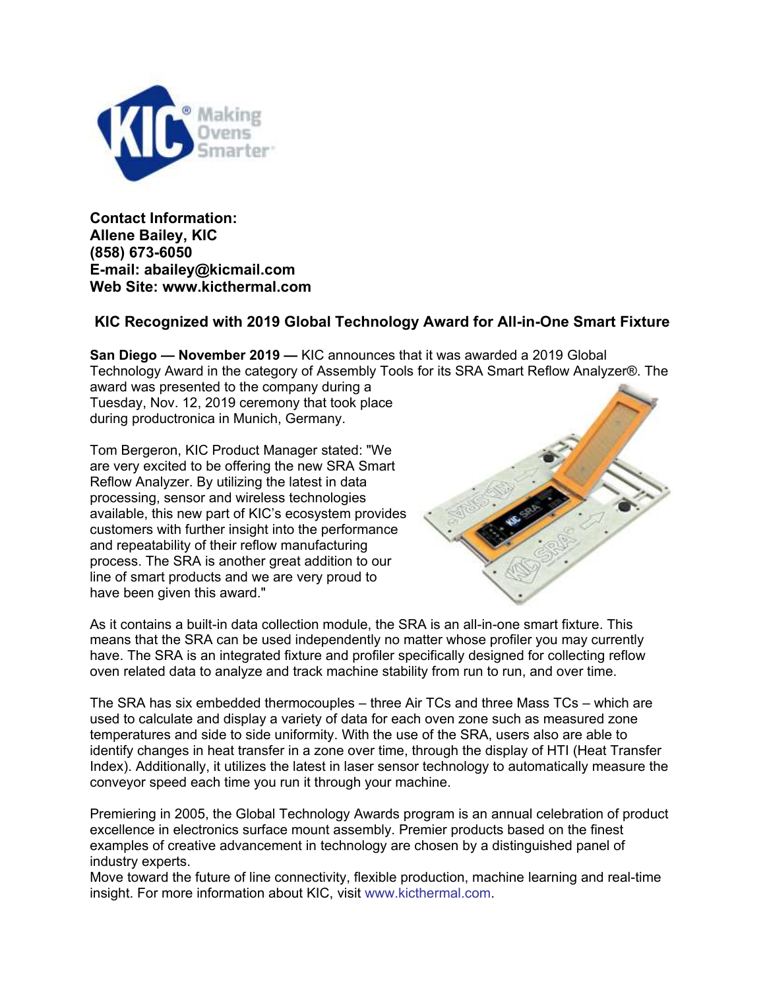

**Contact Information: Allene Bailey, KIC (858) 673-6050 E-mail: abailey@kicmail.com Web Site: www.kicthermal.com**

## **KIC Recognized with 2019 Global Technology Award for All-in-One Smart Fixture**

**San Diego — November 2019 —** KIC announces that it was awarded a 2019 Global Technology Award in the category of Assembly Tools for its SRA Smart Reflow Analyzer®. The award was presented to the company during a

Tuesday, Nov. 12, 2019 ceremony that took place during productronica in Munich, Germany.

Tom Bergeron, KIC Product Manager stated: "We are very excited to be offering the new SRA Smart Reflow Analyzer. By utilizing the latest in data processing, sensor and wireless technologies available, this new part of KIC's ecosystem provides customers with further insight into the performance and repeatability of their reflow manufacturing process. The SRA is another great addition to our line of smart products and we are very proud to have been given this award."



As it contains a built-in data collection module, the SRA is an all-in-one smart fixture. This means that the SRA can be used independently no matter whose profiler you may currently have. The SRA is an integrated fixture and profiler specifically designed for collecting reflow oven related data to analyze and track machine stability from run to run, and over time.

The SRA has six embedded thermocouples – three Air TCs and three Mass TCs – which are used to calculate and display a variety of data for each oven zone such as measured zone temperatures and side to side uniformity. With the use of the SRA, users also are able to identify changes in heat transfer in a zone over time, through the display of HTI (Heat Transfer Index). Additionally, it utilizes the latest in laser sensor technology to automatically measure the conveyor speed each time you run it through your machine.

Premiering in 2005, the Global Technology Awards program is an annual celebration of product excellence in electronics surface mount assembly. Premier products based on the finest examples of creative advancement in technology are chosen by a distinguished panel of industry experts.

Move toward the future of line connectivity, flexible production, machine learning and real-time insight. For more information about KIC, visit [www.kicthermal.com.](http://www.kicthermal.com/)